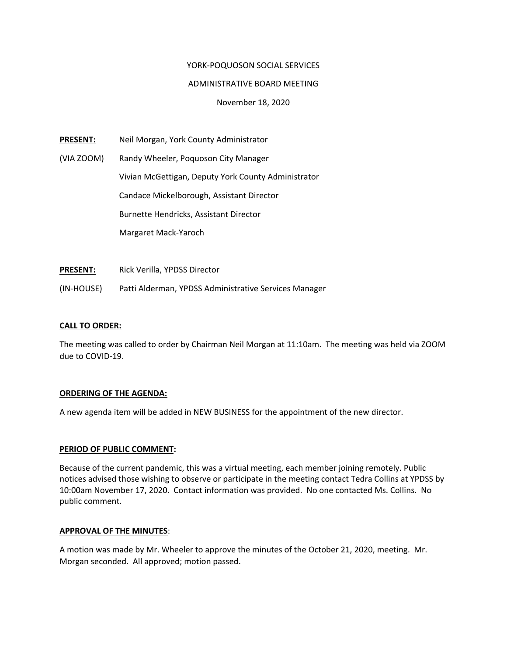# YORK‐POQUOSON SOCIAL SERVICES

# ADMINISTRATIVE BOARD MEETING

November 18, 2020

**PRESENT:** Neil Morgan, York County Administrator

(VIA ZOOM) Randy Wheeler, Poquoson City Manager Vivian McGettigan, Deputy York County Administrator Candace Mickelborough, Assistant Director Burnette Hendricks, Assistant Director Margaret Mack‐Yaroch

**PRESENT:** Rick Verilla, YPDSS Director

(IN‐HOUSE) Patti Alderman, YPDSS Administrative Services Manager

## **CALL TO ORDER:**

The meeting was called to order by Chairman Neil Morgan at 11:10am. The meeting was held via ZOOM due to COVID‐19.

## **ORDERING OF THE AGENDA:**

A new agenda item will be added in NEW BUSINESS for the appointment of the new director.

## **PERIOD OF PUBLIC COMMENT:**

Because of the current pandemic, this was a virtual meeting, each member joining remotely. Public notices advised those wishing to observe or participate in the meeting contact Tedra Collins at YPDSS by 10:00am November 17, 2020. Contact information was provided. No one contacted Ms. Collins. No public comment.

## **APPROVAL OF THE MINUTES**:

A motion was made by Mr. Wheeler to approve the minutes of the October 21, 2020, meeting. Mr. Morgan seconded. All approved; motion passed.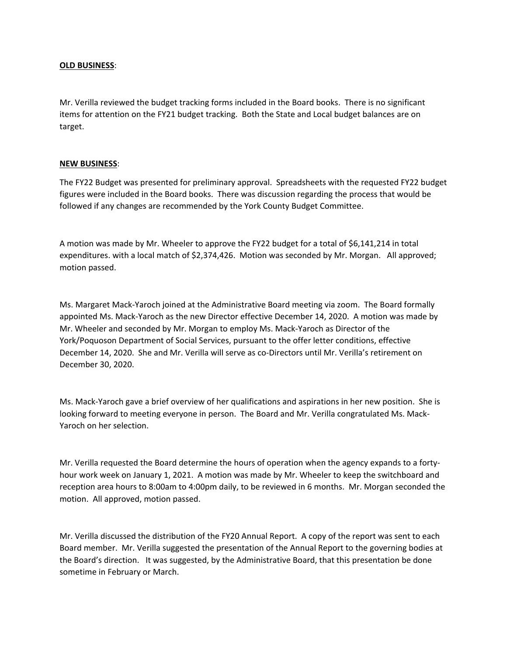## **OLD BUSINESS**:

Mr. Verilla reviewed the budget tracking forms included in the Board books. There is no significant items for attention on the FY21 budget tracking. Both the State and Local budget balances are on target.

# **NEW BUSINESS**:

The FY22 Budget was presented for preliminary approval. Spreadsheets with the requested FY22 budget figures were included in the Board books. There was discussion regarding the process that would be followed if any changes are recommended by the York County Budget Committee.

A motion was made by Mr. Wheeler to approve the FY22 budget for a total of \$6,141,214 in total expenditures. with a local match of \$2,374,426. Motion was seconded by Mr. Morgan. All approved; motion passed.

Ms. Margaret Mack‐Yaroch joined at the Administrative Board meeting via zoom. The Board formally appointed Ms. Mack‐Yaroch as the new Director effective December 14, 2020. A motion was made by Mr. Wheeler and seconded by Mr. Morgan to employ Ms. Mack‐Yaroch as Director of the York/Poquoson Department of Social Services, pursuant to the offer letter conditions, effective December 14, 2020. She and Mr. Verilla will serve as co-Directors until Mr. Verilla's retirement on December 30, 2020.

Ms. Mack‐Yaroch gave a brief overview of her qualifications and aspirations in her new position. She is looking forward to meeting everyone in person. The Board and Mr. Verilla congratulated Ms. Mack‐ Yaroch on her selection.

Mr. Verilla requested the Board determine the hours of operation when the agency expands to a forty‐ hour work week on January 1, 2021. A motion was made by Mr. Wheeler to keep the switchboard and reception area hours to 8:00am to 4:00pm daily, to be reviewed in 6 months. Mr. Morgan seconded the motion. All approved, motion passed.

Mr. Verilla discussed the distribution of the FY20 Annual Report. A copy of the report was sent to each Board member. Mr. Verilla suggested the presentation of the Annual Report to the governing bodies at the Board's direction. It was suggested, by the Administrative Board, that this presentation be done sometime in February or March.